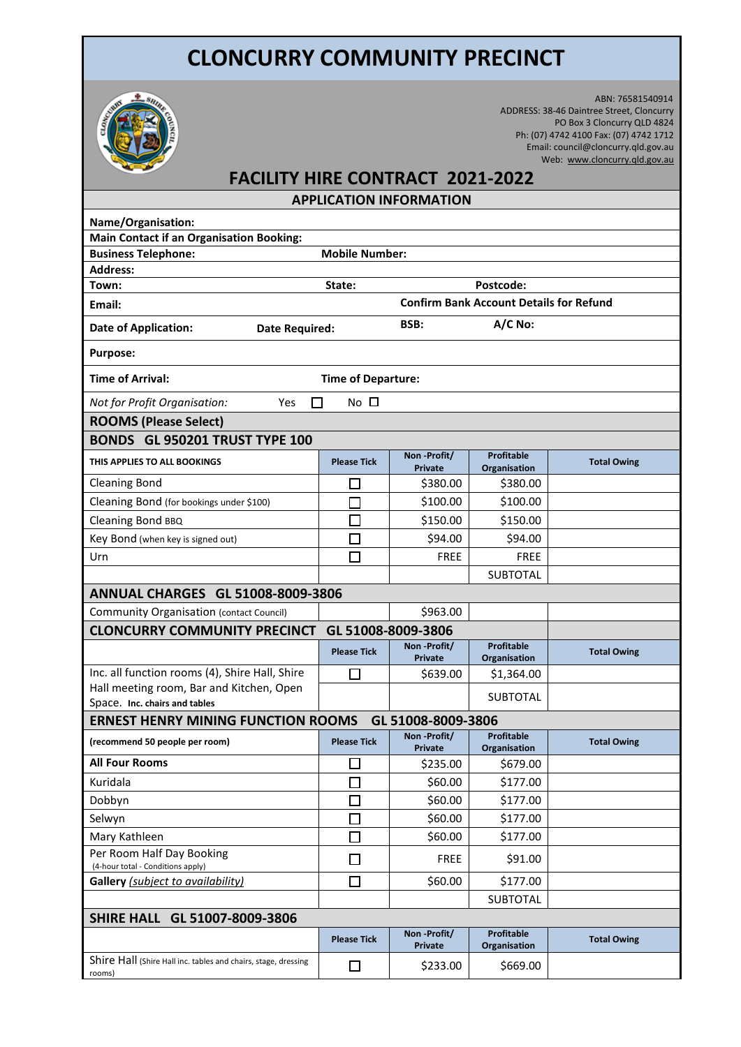## **CLONCURRY COMMUNITY PRECINCT**



 ABN: 76581540914 ADDRESS: 38-46 Daintree Street, Cloncurry PO Box 3 Cloncurry QLD 4824 Ph: (07) 4742 4100 Fax: (07) 4742 1712 Email: council@cloncurry.qld.gov.au Web: [www.cloncurry.qld.gov.au](http://www.cloncurry.qld.gov.au/)

## **FACILITY HIRE CONTRACT 2021-2022**

**APPLICATION INFORMATION**

| Name/Organisation:                                                        |                                                |                               |                                   |                    |  |  |  |  |
|---------------------------------------------------------------------------|------------------------------------------------|-------------------------------|-----------------------------------|--------------------|--|--|--|--|
| <b>Main Contact if an Organisation Booking:</b>                           |                                                |                               |                                   |                    |  |  |  |  |
| <b>Business Telephone:</b>                                                | <b>Mobile Number:</b>                          |                               |                                   |                    |  |  |  |  |
| <b>Address:</b>                                                           |                                                |                               |                                   |                    |  |  |  |  |
| Town:                                                                     | State:<br>Postcode:                            |                               |                                   |                    |  |  |  |  |
| Email:                                                                    | <b>Confirm Bank Account Details for Refund</b> |                               |                                   |                    |  |  |  |  |
| <b>Date of Application:</b>                                               | Date Required:                                 |                               | A/C No:                           |                    |  |  |  |  |
| <b>Purpose:</b>                                                           |                                                |                               |                                   |                    |  |  |  |  |
| <b>Time of Arrival:</b>                                                   | <b>Time of Departure:</b>                      |                               |                                   |                    |  |  |  |  |
| Not for Profit Organisation:<br>Yes                                       | No $\square$                                   |                               |                                   |                    |  |  |  |  |
| <b>ROOMS (Please Select)</b>                                              |                                                |                               |                                   |                    |  |  |  |  |
| BONDS GL 950201 TRUST TYPE 100                                            |                                                |                               |                                   |                    |  |  |  |  |
| THIS APPLIES TO ALL BOOKINGS                                              | <b>Please Tick</b>                             | Non-Profit/<br><b>Private</b> | <b>Profitable</b><br>Organisation | <b>Total Owing</b> |  |  |  |  |
| <b>Cleaning Bond</b>                                                      |                                                | \$380.00                      | \$380.00                          |                    |  |  |  |  |
| Cleaning Bond (for bookings under \$100)                                  |                                                | \$100.00                      | \$100.00                          |                    |  |  |  |  |
| Cleaning Bond BBQ                                                         |                                                | \$150.00                      | \$150.00                          |                    |  |  |  |  |
| Key Bond (when key is signed out)                                         | П                                              | \$94.00                       | \$94.00                           |                    |  |  |  |  |
| Urn                                                                       |                                                | <b>FREE</b>                   | <b>FREE</b>                       |                    |  |  |  |  |
|                                                                           |                                                |                               | <b>SUBTOTAL</b>                   |                    |  |  |  |  |
| <b>ANNUAL CHARGES GL 51008-8009-3806</b>                                  |                                                |                               |                                   |                    |  |  |  |  |
| Community Organisation (contact Council)                                  |                                                | \$963.00                      |                                   |                    |  |  |  |  |
| GL 51008-8009-3806<br><b>CLONCURRY COMMUNITY PRECINCT</b>                 |                                                |                               |                                   |                    |  |  |  |  |
|                                                                           | <b>Please Tick</b>                             | Non-Profit/<br><b>Private</b> | <b>Profitable</b><br>Organisation | <b>Total Owing</b> |  |  |  |  |
| Inc. all function rooms (4), Shire Hall, Shire                            | ΙI                                             | \$639.00                      | \$1,364.00                        |                    |  |  |  |  |
| Hall meeting room, Bar and Kitchen, Open<br>Space. Inc. chairs and tables |                                                |                               | <b>SUBTOTAL</b>                   |                    |  |  |  |  |
| <b>ERNEST HENRY MINING FUNCTION ROOMS</b><br>GL 51008-8009-3806           |                                                |                               |                                   |                    |  |  |  |  |
|                                                                           | <b>Profitable</b><br>Non-Profit/               |                               |                                   |                    |  |  |  |  |
| (recommend 50 people per room)                                            | <b>Please Tick</b>                             | <b>Private</b>                | Organisation                      | <b>Total Owing</b> |  |  |  |  |
| <b>All Four Rooms</b>                                                     | □                                              | \$235.00                      | \$679.00                          |                    |  |  |  |  |
| Kuridala                                                                  |                                                | \$60.00                       | \$177.00                          |                    |  |  |  |  |
| Dobbyn                                                                    |                                                | \$60.00                       | \$177.00                          |                    |  |  |  |  |
| Selwyn                                                                    |                                                | \$60.00                       | \$177.00                          |                    |  |  |  |  |
| Mary Kathleen                                                             | П                                              | \$60.00                       | \$177.00                          |                    |  |  |  |  |
| Per Room Half Day Booking<br>(4-hour total - Conditions apply)            | $\Box$                                         | <b>FREE</b>                   | \$91.00                           |                    |  |  |  |  |
| Gallery (subject to availability)                                         | $\Box$                                         | \$60.00                       | \$177.00                          |                    |  |  |  |  |
|                                                                           |                                                |                               | SUBTOTAL                          |                    |  |  |  |  |
| SHIRE HALL GL 51007-8009-3806                                             |                                                |                               |                                   |                    |  |  |  |  |
|                                                                           | <b>Please Tick</b>                             | Non-Profit/<br>Private        | <b>Profitable</b><br>Organisation | <b>Total Owing</b> |  |  |  |  |
| Shire Hall (Shire Hall inc. tables and chairs, stage, dressing<br>rooms)  | $\Box$                                         | \$233.00                      | \$669.00                          |                    |  |  |  |  |